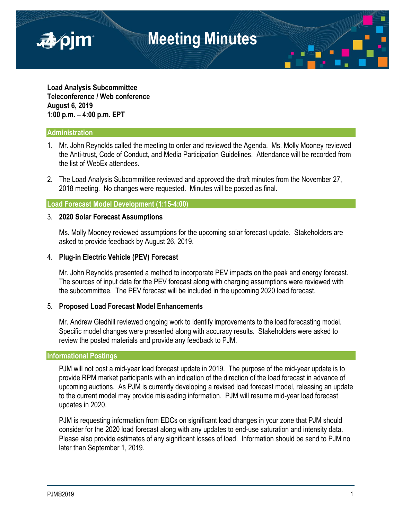

**Load Analysis Subcommittee Teleconference / Web conference August 6, 2019 1:00 p.m. – 4:00 p.m. EPT**

# **Administration**

- 1. Mr. John Reynolds called the meeting to order and reviewed the Agenda. Ms. Molly Mooney reviewed the Anti-trust, Code of Conduct, and Media Participation Guidelines. Attendance will be recorded from the list of WebEx attendees.
- 2. The Load Analysis Subcommittee reviewed and approved the draft minutes from the November 27, 2018 meeting. No changes were requested. Minutes will be posted as final.

# **Load Forecast Model Development (1:15-4:00)**

#### 3. **2020 Solar Forecast Assumptions**

Ms. Molly Mooney reviewed assumptions for the upcoming solar forecast update. Stakeholders are asked to provide feedback by August 26, 2019.

# 4. **Plug-in Electric Vehicle (PEV) Forecast**

Mr. John Reynolds presented a method to incorporate PEV impacts on the peak and energy forecast. The sources of input data for the PEV forecast along with charging assumptions were reviewed with the subcommittee. The PEV forecast will be included in the upcoming 2020 load forecast.

#### 5. **Proposed Load Forecast Model Enhancements**

Mr. Andrew Gledhill reviewed ongoing work to identify improvements to the load forecasting model. Specific model changes were presented along with accuracy results. Stakeholders were asked to review the posted materials and provide any feedback to PJM.

#### **Informational Postings**

PJM will not post a mid-year load forecast update in 2019. The purpose of the mid-year update is to provide RPM market participants with an indication of the direction of the load forecast in advance of upcoming auctions. As PJM is currently developing a revised load forecast model, releasing an update to the current model may provide misleading information. PJM will resume mid-year load forecast updates in 2020.

PJM is requesting information from EDCs on significant load changes in your zone that PJM should consider for the 2020 load forecast along with any updates to end-use saturation and intensity data. Please also provide estimates of any significant losses of load. Information should be send to PJM no later than September 1, 2019.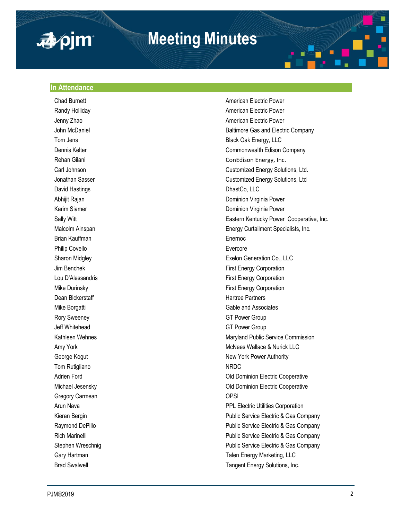

# **Meeting Minutes**

## **In Attendance**

**Chad Burnett** Changer American Electric Power David Hastings **DhastCo, LLC** Brian Kauffman **Enernoc** Enernoc Philip Covello **Evercore** Dean Bickerstaff **Hartree Partners Hartree Partners** Rory Sweeney GT Power Group Jeff Whitehead GT Power Group Tom Rutigliano NRDC Gregory Carmean **OPSI** 

Randy Holliday **American Electric Power American Electric Power** Jenny Zhao **American Electric Power** American Electric Power John McDaniel **Baltimore Gas and Electric Company** Tom Jens Black Oak Energy, LLC Dennis Kelter Commonwealth Edison Company Rehan Gilani ConEdison Energy, Inc. Carl Johnson Customized Energy Solutions, Ltd. Jonathan Sasser Customized Energy Solutions, Ltd Abhijit Rajan Dominion Virginia Power Karim Siamer **Dominion Virginia Power** Sally Witt **Eastern Kentucky Power Cooperative**, Inc. Malcolm Ainspan Energy Curtailment Specialists, Inc. Sharon Midgley Exelon Generation Co., LLC Jim Benchek First Energy Corporation Lou D'Alessandris **Election** Einst Energy Corporation Mike Durinsky **First Energy Corporation** Mike Borgatti Gable and Associates Kathleen Wehnes Maryland Public Service Commission Amy York **McNees Wallace & Nurick LLC** George Kogut New York Power Authority Adrien Ford **Adrien Ford Cooperative Cooperative Old Dominion Electric Cooperative** Michael Jesensky Old Dominion Electric Cooperative Arun Nava PPL Electric Utilities Corporation Kieran Bergin **Public Service Electric & Gas Company** Public Service Electric & Gas Company Raymond DePillo **Public Service Electric & Gas Company** Public Service Electric & Gas Company Rich Marinelli **Number 2018** 2019 12:30 Public Service Electric & Gas Company Stephen Wreschnig **Public Service Electric & Gas Company** Public Service Electric & Gas Company Gary Hartman **Talen Energy Marketing, LLC** Brad Swalwell **Tangent Energy Solutions**, Inc.